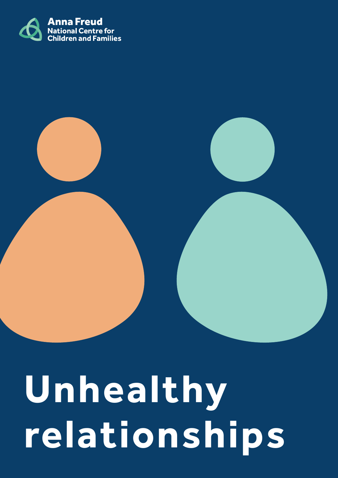

# **Unhealthy relationships**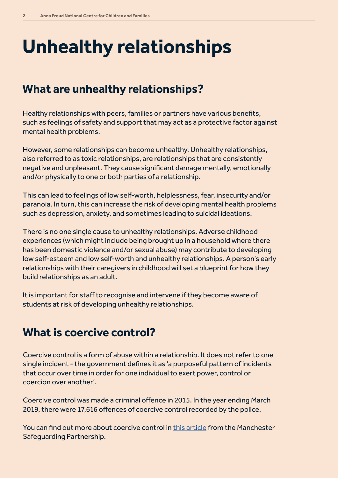# **Unhealthy relationships**

#### **What are unhealthy relationships?**

Healthy relationships with peers, families or partners have various benefits, such as feelings of safety and support that may act as a protective factor against mental health problems.

However, some relationships can become unhealthy. Unhealthy relationships, also referred to as toxic relationships, are relationships that are consistently negative and unpleasant. They cause significant damage mentally, emotionally and/or physically to one or both parties of a relationship.

This can lead to feelings of low self-worth, helplessness, fear, insecurity and/or paranoia. In turn, this can increase the risk of developing mental health problems such as depression, anxiety, and sometimes leading to suicidal ideations.

There is no one single cause to unhealthy relationships. Adverse childhood experiences (which might include being brought up in a household where there has been domestic violence and/or sexual abuse) may contribute to developing low self-esteem and low self-worth and unhealthy relationships. A person's early relationships with their caregivers in childhood will set a blueprint for how they build relationships as an adult.

It is important for staff to recognise and intervene if they become aware of students at risk of developing unhealthy relationships.

### **What is coercive control?**

Coercive control is a form of abuse within a relationship. It does not refer to one single incident - the government defines it as 'a purposeful pattern of incidents that occur over time in order for one individual to exert power, control or coercion over another'.

Coercive control was made a criminal offence in 2015. In the year ending March 2019, there were 17,616 offences of coercive control recorded by the police.

You can find out more about coercive control in this article from the Manchester Safeguarding Partnership.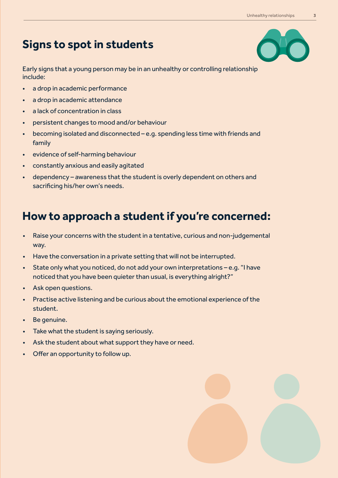#### **Signs to spot in students**

Early signs that a young person may be in an unhealthy or controlling relationship include:

- a drop in academic performance
- a drop in academic attendance
- a lack of concentration in class
- persistent changes to mood and/or behaviour
- becoming isolated and disconnected e.g. spending less time with friends and family
- evidence of self-harming behaviour
- constantly anxious and easily agitated
- dependency awareness that the student is overly dependent on others and sacrificing his/her own's needs.

#### **How to approach a student if you're concerned:**

- Raise your concerns with the student in a tentative, curious and non-judgemental way.
- Have the conversation in a private setting that will not be interrupted.
- State only what you noticed, do not add your own interpretations e.g. "I have noticed that you have been quieter than usual, is everything alright?"
- Ask open questions.
- Practise active listening and be curious about the emotional experience of the student.
- Be genuine.
- Take what the student is saying seriously.
- Ask the student about what support they have or need.
- Offer an opportunity to follow up.

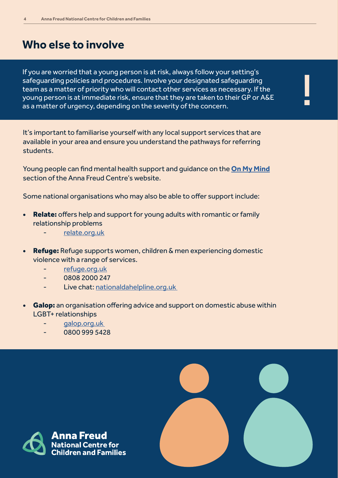#### **Who else to involve**

If you are worried that a young person is at risk, always follow your setting's safeguarding policies and procedures. Involve your designated safeguarding team as a matter of priority who will contact other services as necessary. If the young person is at immediate risk, ensure that they are taken to their GP or A&E safeguarding policies and procedures. Involve your designated safeguarding<br>team as a matter of priority who will contact other services as necessary. If the<br>young person is at immediate risk, ensure that they are taken to

It's important to familiarise yourself with any local support services that are available in your area and ensure you understand the pathways for referring students.

Young people can find mental health support and guidance on the **On My Mind** section of the Anna Freud Centre's website.

Some national organisations who may also be able to offer support include:

- Relate: offers help and support for young adults with romantic or family relationship problems
	- relate.org.uk
- **Refuge:** Refuge supports women, children & men experiencing domestic violence with a range of services.
	- refuge.org.uk
	- 0808 2000 247
	- Live chat: nationaldahelpline.org.uk
- **Galop:** an organisation offering advice and support on domestic abuse within LGBT+ relationships
	- galop.org.uk
	- 0800 999 5428